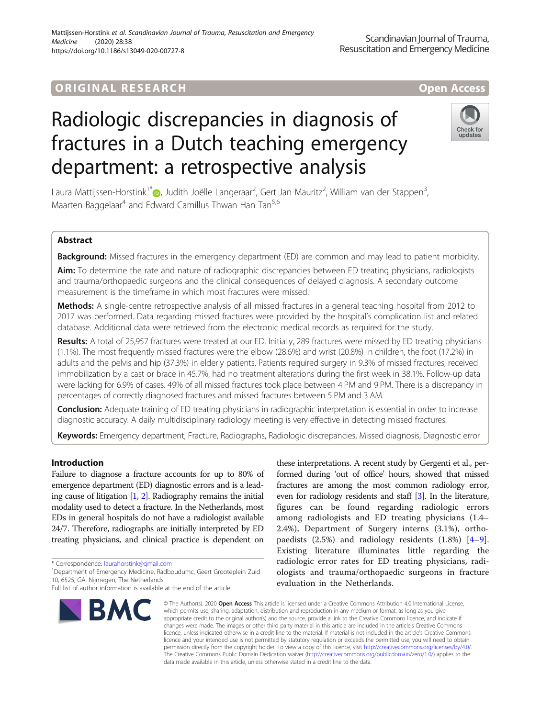# Radiologic discrepancies in diagnosis of fractures in a Dutch teaching emergency department: a retrospective analysis

Laura Mattijssen-Horstink<sup>1\*</sup>®[,](http://orcid.org/0000-0002-0188-3365) Judith Joëlle Langeraar<sup>2</sup>, Gert Jan Mauritz<sup>2</sup>, William van der Stappen<sup>3</sup> , Maarten Baggelaar<sup>4</sup> and Edward Camillus Thwan Han Tan<sup>5,6</sup>

# Abstract

Background: Missed fractures in the emergency department (ED) are common and may lead to patient morbidity. Aim: To determine the rate and nature of radiographic discrepancies between ED treating physicians, radiologists and trauma/orthopaedic surgeons and the clinical consequences of delayed diagnosis. A secondary outcome measurement is the timeframe in which most fractures were missed.

Methods: A single-centre retrospective analysis of all missed fractures in a general teaching hospital from 2012 to 2017 was performed. Data regarding missed fractures were provided by the hospital's complication list and related database. Additional data were retrieved from the electronic medical records as required for the study.

Results: A total of 25,957 fractures were treated at our ED. Initially, 289 fractures were missed by ED treating physicians (1.1%). The most frequently missed fractures were the elbow (28.6%) and wrist (20.8%) in children, the foot (17.2%) in adults and the pelvis and hip (37.3%) in elderly patients. Patients required surgery in 9.3% of missed fractures, received immobilization by a cast or brace in 45.7%, had no treatment alterations during the first week in 38.1%. Follow-up data were lacking for 6.9% of cases. 49% of all missed fractures took place between 4 PM and 9 PM. There is a discrepancy in percentages of correctly diagnosed fractures and missed fractures between 5 PM and 3 AM.

**Conclusion:** Adequate training of ED treating physicians in radiographic interpretation is essential in order to increase diagnostic accuracy. A daily multidisciplinary radiology meeting is very effective in detecting missed fractures.

Keywords: Emergency department, Fracture, Radiographs, Radiologic discrepancies, Missed diagnosis, Diagnostic error

# Introduction

Failure to diagnose a fracture accounts for up to 80% of emergence department (ED) diagnostic errors and is a leading cause of litigation [\[1,](#page-5-0) [2](#page-5-0)]. Radiography remains the initial modality used to detect a fracture. In the Netherlands, most EDs in general hospitals do not have a radiologist available 24/7. Therefore, radiographs are initially interpreted by ED treating physicians, and clinical practice is dependent on

\* Correspondence: [laurahorstink@gmail.com](mailto:laurahorstink@gmail.com) <sup>1</sup>

#### © The Author(s). 2020 Open Access This article is licensed under a Creative Commons Attribution 4.0 International License, which permits use, sharing, adaptation, distribution and reproduction in any medium or format, as long as you give appropriate credit to the original author(s) and the source, provide a link to the Creative Commons licence, and indicate if changes were made. The images or other third party material in this article are included in the article's Creative Commons licence, unless indicated otherwise in a credit line to the material. If material is not included in the article's Creative Commons licence and your intended use is not permitted by statutory regulation or exceeds the permitted use, you will need to obtain permission directly from the copyright holder. To view a copy of this licence, visit [http://creativecommons.org/licenses/by/4.0/.](http://creativecommons.org/licenses/by/4.0/) The Creative Commons Public Domain Dedication waiver [\(http://creativecommons.org/publicdomain/zero/1.0/](http://creativecommons.org/publicdomain/zero/1.0/)) applies to the data made available in this article, unless otherwise stated in a credit line to the data.

these interpretations. A recent study by Gergenti et al., performed during 'out of office' hours, showed that missed fractures are among the most common radiology error, even for radiology residents and staff [[3\]](#page-5-0). In the literature, figures can be found regarding radiologic errors among radiologists and ED treating physicians (1.4– 2.4%), Department of Surgery interns (3.1%), orthopaedists  $(2.5%)$  and radiology residents  $(1.8%)$   $[4-9]$  $[4-9]$  $[4-9]$  $[4-9]$  $[4-9]$ . Existing literature illuminates little regarding the radiologic error rates for ED treating physicians, radiologists and trauma/orthopaedic surgeons in fracture evaluation in the Netherlands.

Scandinavian Journal of Trauma, Resuscitation and Emergency Medicine







Department of Emergency Medicine, Radboudumc, Geert Grooteplein Zuid 10, 6525, GA, Nijmegen, The Netherlands

Full list of author information is available at the end of the article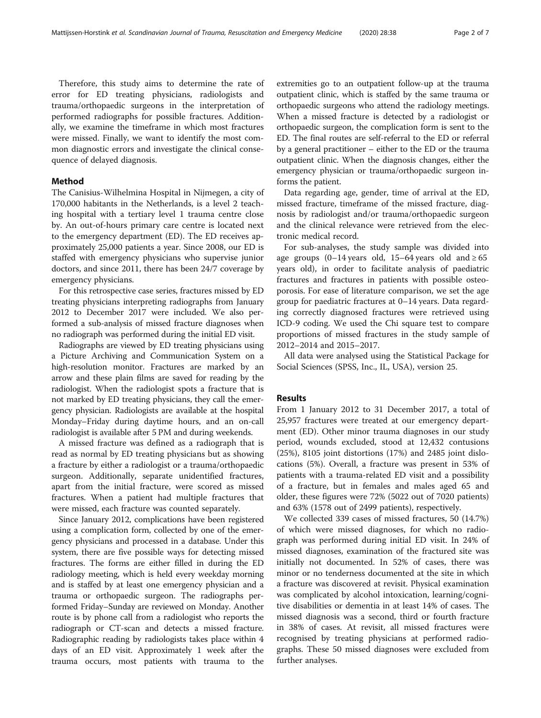Therefore, this study aims to determine the rate of error for ED treating physicians, radiologists and trauma/orthopaedic surgeons in the interpretation of performed radiographs for possible fractures. Additionally, we examine the timeframe in which most fractures were missed. Finally, we want to identify the most common diagnostic errors and investigate the clinical consequence of delayed diagnosis.

# Method

The Canisius-Wilhelmina Hospital in Nijmegen, a city of 170,000 habitants in the Netherlands, is a level 2 teaching hospital with a tertiary level 1 trauma centre close by. An out-of-hours primary care centre is located next to the emergency department (ED). The ED receives approximately 25,000 patients a year. Since 2008, our ED is staffed with emergency physicians who supervise junior doctors, and since 2011, there has been 24/7 coverage by emergency physicians.

For this retrospective case series, fractures missed by ED treating physicians interpreting radiographs from January 2012 to December 2017 were included. We also performed a sub-analysis of missed fracture diagnoses when no radiograph was performed during the initial ED visit.

Radiographs are viewed by ED treating physicians using a Picture Archiving and Communication System on a high-resolution monitor. Fractures are marked by an arrow and these plain films are saved for reading by the radiologist. When the radiologist spots a fracture that is not marked by ED treating physicians, they call the emergency physician. Radiologists are available at the hospital Monday–Friday during daytime hours, and an on-call radiologist is available after 5 PM and during weekends.

A missed fracture was defined as a radiograph that is read as normal by ED treating physicians but as showing a fracture by either a radiologist or a trauma/orthopaedic surgeon. Additionally, separate unidentified fractures, apart from the initial fracture, were scored as missed fractures. When a patient had multiple fractures that were missed, each fracture was counted separately.

Since January 2012, complications have been registered using a complication form, collected by one of the emergency physicians and processed in a database. Under this system, there are five possible ways for detecting missed fractures. The forms are either filled in during the ED radiology meeting, which is held every weekday morning and is staffed by at least one emergency physician and a trauma or orthopaedic surgeon. The radiographs performed Friday–Sunday are reviewed on Monday. Another route is by phone call from a radiologist who reports the radiograph or CT-scan and detects a missed fracture. Radiographic reading by radiologists takes place within 4 days of an ED visit. Approximately 1 week after the trauma occurs, most patients with trauma to the

extremities go to an outpatient follow-up at the trauma outpatient clinic, which is staffed by the same trauma or orthopaedic surgeons who attend the radiology meetings. When a missed fracture is detected by a radiologist or orthopaedic surgeon, the complication form is sent to the ED. The final routes are self-referral to the ED or referral by a general practitioner – either to the ED or the trauma outpatient clinic. When the diagnosis changes, either the emergency physician or trauma/orthopaedic surgeon informs the patient.

Data regarding age, gender, time of arrival at the ED, missed fracture, timeframe of the missed fracture, diagnosis by radiologist and/or trauma/orthopaedic surgeon and the clinical relevance were retrieved from the electronic medical record.

For sub-analyses, the study sample was divided into age groups (0–14 years old, 15–64 years old and  $\geq 65$ years old), in order to facilitate analysis of paediatric fractures and fractures in patients with possible osteoporosis. For ease of literature comparison, we set the age group for paediatric fractures at 0–14 years. Data regarding correctly diagnosed fractures were retrieved using ICD-9 coding. We used the Chi square test to compare proportions of missed fractures in the study sample of 2012–2014 and 2015–2017.

All data were analysed using the Statistical Package for Social Sciences (SPSS, Inc., IL, USA), version 25.

## Results

From 1 January 2012 to 31 December 2017, a total of 25,957 fractures were treated at our emergency department (ED). Other minor trauma diagnoses in our study period, wounds excluded, stood at 12,432 contusions (25%), 8105 joint distortions (17%) and 2485 joint dislocations (5%). Overall, a fracture was present in 53% of patients with a trauma-related ED visit and a possibility of a fracture, but in females and males aged 65 and older, these figures were 72% (5022 out of 7020 patients) and 63% (1578 out of 2499 patients), respectively.

We collected 339 cases of missed fractures, 50 (14.7%) of which were missed diagnoses, for which no radiograph was performed during initial ED visit. In 24% of missed diagnoses, examination of the fractured site was initially not documented. In 52% of cases, there was minor or no tenderness documented at the site in which a fracture was discovered at revisit. Physical examination was complicated by alcohol intoxication, learning/cognitive disabilities or dementia in at least 14% of cases. The missed diagnosis was a second, third or fourth fracture in 38% of cases. At revisit, all missed fractures were recognised by treating physicians at performed radiographs. These 50 missed diagnoses were excluded from further analyses.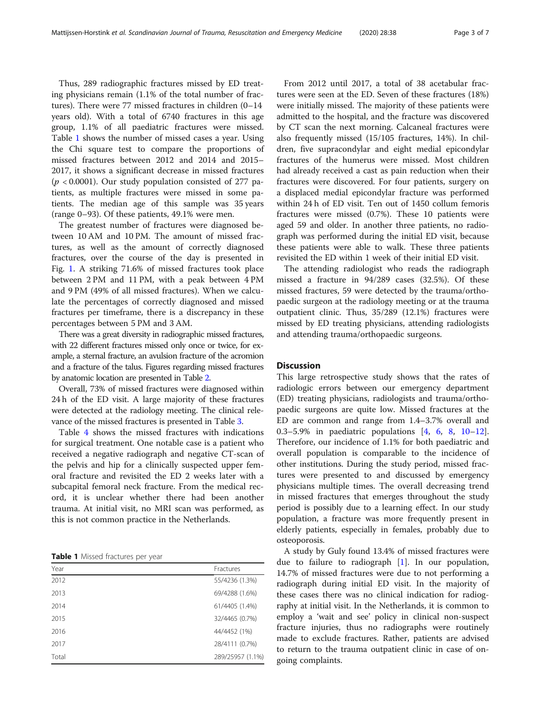Thus, 289 radiographic fractures missed by ED treating physicians remain (1.1% of the total number of fractures). There were 77 missed fractures in children (0–14 years old). With a total of 6740 fractures in this age group, 1.1% of all paediatric fractures were missed. Table 1 shows the number of missed cases a year. Using the Chi square test to compare the proportions of missed fractures between 2012 and 2014 and 2015– 2017, it shows a significant decrease in missed fractures ( $p < 0.0001$ ). Our study population consisted of 277 patients, as multiple fractures were missed in some patients. The median age of this sample was 35 years (range 0–93). Of these patients, 49.1% were men.

The greatest number of fractures were diagnosed between 10 AM and 10 PM. The amount of missed fractures, as well as the amount of correctly diagnosed fractures, over the course of the day is presented in Fig. [1.](#page-3-0) A striking 71.6% of missed fractures took place between 2 PM and 11 PM, with a peak between 4 PM and 9 PM (49% of all missed fractures). When we calculate the percentages of correctly diagnosed and missed fractures per timeframe, there is a discrepancy in these percentages between 5 PM and 3 AM.

There was a great diversity in radiographic missed fractures, with 22 different fractures missed only once or twice, for example, a sternal fracture, an avulsion fracture of the acromion and a fracture of the talus. Figures regarding missed fractures by anatomic location are presented in Table [2](#page-3-0).

Overall, 73% of missed fractures were diagnosed within 24 h of the ED visit. A large majority of these fractures were detected at the radiology meeting. The clinical relevance of the missed fractures is presented in Table [3](#page-4-0).

Table [4](#page-4-0) shows the missed fractures with indications for surgical treatment. One notable case is a patient who received a negative radiograph and negative CT-scan of the pelvis and hip for a clinically suspected upper femoral fracture and revisited the ED 2 weeks later with a subcapital femoral neck fracture. From the medical record, it is unclear whether there had been another trauma. At initial visit, no MRI scan was performed, as this is not common practice in the Netherlands.

**Table 1** Missed fractures per year

| Year  | Fractures        |
|-------|------------------|
| 2012  | 55/4236 (1.3%)   |
| 2013  | 69/4288 (1.6%)   |
| 2014  | 61/4405 (1.4%)   |
| 2015  | 32/4465 (0.7%)   |
| 2016  | 44/4452 (1%)     |
| 2017  | 28/4111 (0.7%)   |
| Total | 289/25957 (1.1%) |

From 2012 until 2017, a total of 38 acetabular fractures were seen at the ED. Seven of these fractures (18%) were initially missed. The majority of these patients were admitted to the hospital, and the fracture was discovered by CT scan the next morning. Calcaneal fractures were also frequently missed (15/105 fractures, 14%). In children, five supracondylar and eight medial epicondylar fractures of the humerus were missed. Most children had already received a cast as pain reduction when their fractures were discovered. For four patients, surgery on a displaced medial epicondylar fracture was performed within 24 h of ED visit. Ten out of 1450 collum femoris fractures were missed (0.7%). These 10 patients were aged 59 and older. In another three patients, no radiograph was performed during the initial ED visit, because these patients were able to walk. These three patients revisited the ED within 1 week of their initial ED visit.

The attending radiologist who reads the radiograph missed a fracture in 94/289 cases (32.5%). Of these missed fractures, 59 were detected by the trauma/orthopaedic surgeon at the radiology meeting or at the trauma outpatient clinic. Thus, 35/289 (12.1%) fractures were missed by ED treating physicians, attending radiologists and attending trauma/orthopaedic surgeons.

# **Discussion**

This large retrospective study shows that the rates of radiologic errors between our emergency department (ED) treating physicians, radiologists and trauma/orthopaedic surgeons are quite low. Missed fractures at the ED are common and range from 1.4–3.7% overall and 0.3–5.9% in paediatric populations [[4,](#page-5-0) [6](#page-6-0), [8,](#page-6-0) [10](#page-6-0)–[12](#page-6-0)]. Therefore, our incidence of 1.1% for both paediatric and overall population is comparable to the incidence of other institutions. During the study period, missed fractures were presented to and discussed by emergency physicians multiple times. The overall decreasing trend in missed fractures that emerges throughout the study period is possibly due to a learning effect. In our study population, a fracture was more frequently present in elderly patients, especially in females, probably due to osteoporosis.

A study by Guly found 13.4% of missed fractures were due to failure to radiograph [[1\]](#page-5-0). In our population, 14.7% of missed fractures were due to not performing a radiograph during initial ED visit. In the majority of these cases there was no clinical indication for radiography at initial visit. In the Netherlands, it is common to employ a 'wait and see' policy in clinical non-suspect fracture injuries, thus no radiographs were routinely made to exclude fractures. Rather, patients are advised to return to the trauma outpatient clinic in case of ongoing complaints.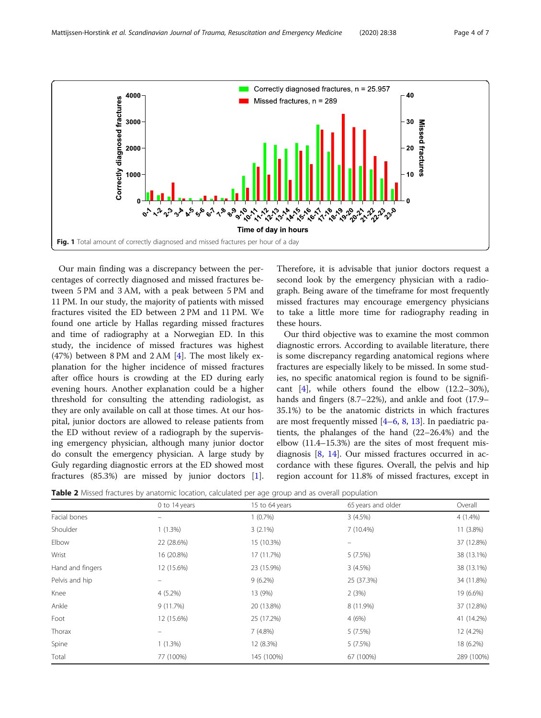<span id="page-3-0"></span>

Our main finding was a discrepancy between the percentages of correctly diagnosed and missed fractures between 5 PM and 3 AM, with a peak between 5 PM and 11 PM. In our study, the majority of patients with missed fractures visited the ED between 2 PM and 11 PM. We found one article by Hallas regarding missed fractures and time of radiography at a Norwegian ED. In this study, the incidence of missed fractures was highest (47%) between 8 PM and 2 AM [[4\]](#page-5-0). The most likely explanation for the higher incidence of missed fractures after office hours is crowding at the ED during early evening hours. Another explanation could be a higher threshold for consulting the attending radiologist, as they are only available on call at those times. At our hospital, junior doctors are allowed to release patients from the ED without review of a radiograph by the supervising emergency physician, although many junior doctor do consult the emergency physician. A large study by Guly regarding diagnostic errors at the ED showed most fractures (85.3%) are missed by junior doctors [\[1](#page-5-0)].

Therefore, it is advisable that junior doctors request a second look by the emergency physician with a radiograph. Being aware of the timeframe for most frequently missed fractures may encourage emergency physicians to take a little more time for radiography reading in these hours.

Our third objective was to examine the most common diagnostic errors. According to available literature, there is some discrepancy regarding anatomical regions where fractures are especially likely to be missed. In some studies, no specific anatomical region is found to be significant  $[4]$  $[4]$ , while others found the elbow  $(12.2-30\%)$ , hands and fingers (8.7–22%), and ankle and foot (17.9– 35.1%) to be the anatomic districts in which fractures are most frequently missed [[4](#page-5-0)–[6,](#page-6-0) [8,](#page-6-0) [13\]](#page-6-0). In paediatric patients, the phalanges of the hand (22–26.4%) and the elbow (11.4–15.3%) are the sites of most frequent misdiagnosis [[8,](#page-6-0) [14\]](#page-6-0). Our missed fractures occurred in accordance with these figures. Overall, the pelvis and hip region account for 11.8% of missed fractures, except in

|  |  |  | Table 2 Missed fractures by anatomic location, calculated per age group and as overall population |
|--|--|--|---------------------------------------------------------------------------------------------------|
|--|--|--|---------------------------------------------------------------------------------------------------|

| 0 to 14 years | 15 to 64 years<br>$1(0.7\%)$ | 65 years and older                                                                                                                              | Overall                                                                                                           |
|---------------|------------------------------|-------------------------------------------------------------------------------------------------------------------------------------------------|-------------------------------------------------------------------------------------------------------------------|
|               |                              |                                                                                                                                                 |                                                                                                                   |
|               |                              | 3(4.5%)                                                                                                                                         | $4(1.4\%)$                                                                                                        |
| $1(1.3\%)$    |                              |                                                                                                                                                 | 11 (3.8%)                                                                                                         |
| 22 (28.6%)    |                              |                                                                                                                                                 | 37 (12.8%)                                                                                                        |
| 16 (20.8%)    |                              |                                                                                                                                                 | 38 (13.1%)                                                                                                        |
| 12 (15.6%)    |                              |                                                                                                                                                 | 38 (13.1%)                                                                                                        |
|               |                              |                                                                                                                                                 | 34 (11.8%)                                                                                                        |
| $4(5.2\%)$    |                              |                                                                                                                                                 | 19 (6.6%)                                                                                                         |
| 9 (11.7%)     |                              |                                                                                                                                                 | 37 (12.8%)                                                                                                        |
| 12 (15.6%)    |                              |                                                                                                                                                 | 41 (14.2%)                                                                                                        |
|               |                              |                                                                                                                                                 | 12 (4.2%)                                                                                                         |
| $1(1.3\%)$    |                              |                                                                                                                                                 | 18 (6.2%)                                                                                                         |
| 77 (100%)     |                              |                                                                                                                                                 | 289 (100%)                                                                                                        |
|               |                              | $3(2.1\%)$<br>15 (10.3%)<br>17 (11.7%)<br>23 (15.9%)<br>$9(6.2\%)$<br>13 (9%)<br>20 (13.8%)<br>25 (17.2%)<br>7(4.8%)<br>12 (8.3%)<br>145 (100%) | $7(10.4\%)$<br>5(7.5%)<br>3(4.5%)<br>25 (37.3%)<br>2(3%)<br>8 (11.9%)<br>4(6%)<br>5(7.5%)<br>5(7.5%)<br>67 (100%) |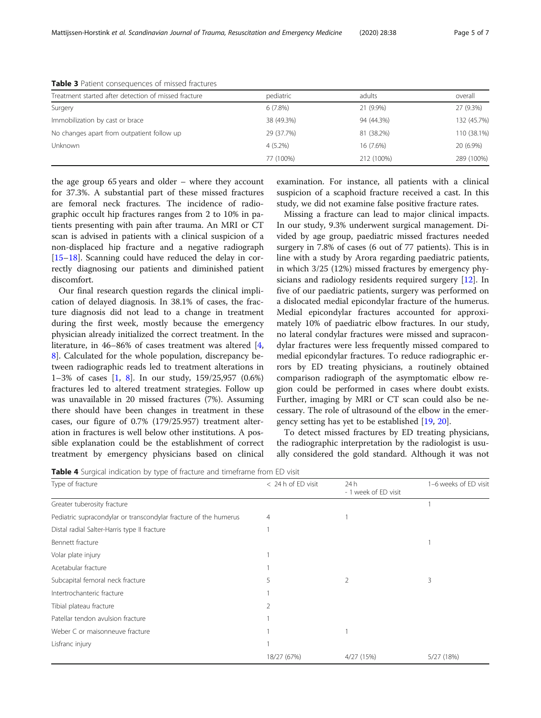| Treatment started after detection of missed fracture | pediatric  | adults     | overall     |
|------------------------------------------------------|------------|------------|-------------|
| Surgery                                              | 6(7.8%)    | 21 (9.9%)  | 27 (9.3%)   |
| Immobilization by cast or brace                      | 38 (49.3%) | 94 (44.3%) | 132 (45.7%) |
| No changes apart from outpatient follow up           | 29 (37.7%) | 81 (38.2%) | 110 (38.1%) |
| <b>Unknown</b>                                       | $4(5.2\%)$ | 16 (7.6%)  | 20 (6.9%)   |
|                                                      | 77 (100%)  | 212 (100%) | 289 (100%)  |
|                                                      |            |            |             |

<span id="page-4-0"></span>Table 3 Patient consequences of missed fractures

the age group 65 years and older – where they account for 37.3%. A substantial part of these missed fractures are femoral neck fractures. The incidence of radiographic occult hip fractures ranges from 2 to 10% in patients presenting with pain after trauma. An MRI or CT scan is advised in patients with a clinical suspicion of a non-displaced hip fracture and a negative radiograph [[15](#page-6-0)–[18](#page-6-0)]. Scanning could have reduced the delay in correctly diagnosing our patients and diminished patient discomfort.

Our final research question regards the clinical implication of delayed diagnosis. In 38.1% of cases, the fracture diagnosis did not lead to a change in treatment during the first week, mostly because the emergency physician already initialized the correct treatment. In the literature, in 46–86% of cases treatment was altered [[4](#page-5-0), [8\]](#page-6-0). Calculated for the whole population, discrepancy between radiographic reads led to treatment alterations in 1–3% of cases [\[1](#page-5-0), [8](#page-6-0)]. In our study, 159/25,957 (0.6%) fractures led to altered treatment strategies. Follow up was unavailable in 20 missed fractures (7%). Assuming there should have been changes in treatment in these cases, our figure of 0.7% (179/25.957) treatment alteration in fractures is well below other institutions. A possible explanation could be the establishment of correct treatment by emergency physicians based on clinical

examination. For instance, all patients with a clinical suspicion of a scaphoid fracture received a cast. In this study, we did not examine false positive fracture rates.

Missing a fracture can lead to major clinical impacts. In our study, 9.3% underwent surgical management. Divided by age group, paediatric missed fractures needed surgery in 7.8% of cases (6 out of 77 patients). This is in line with a study by Arora regarding paediatric patients, in which 3/25 (12%) missed fractures by emergency physicians and radiology residents required surgery [[12\]](#page-6-0). In five of our paediatric patients, surgery was performed on a dislocated medial epicondylar fracture of the humerus. Medial epicondylar fractures accounted for approximately 10% of paediatric elbow fractures. In our study, no lateral condylar fractures were missed and supracondylar fractures were less frequently missed compared to medial epicondylar fractures. To reduce radiographic errors by ED treating physicians, a routinely obtained comparison radiograph of the asymptomatic elbow region could be performed in cases where doubt exists. Further, imaging by MRI or CT scan could also be necessary. The role of ultrasound of the elbow in the emergency setting has yet to be established [[19,](#page-6-0) [20\]](#page-6-0).

To detect missed fractures by ED treating physicians, the radiographic interpretation by the radiologist is usually considered the gold standard. Although it was not

Table 4 Surgical indication by type of fracture and timeframe from ED visit

| Type of fracture                                                 | < 24 h of ED visit | 24h<br>- 1 week of ED visit | 1-6 weeks of ED visit |
|------------------------------------------------------------------|--------------------|-----------------------------|-----------------------|
| Greater tuberosity fracture                                      |                    |                             |                       |
| Pediatric supracondylar or transcondylar fracture of the humerus | 4                  |                             |                       |
| Distal radial Salter-Harris type II fracture                     |                    |                             |                       |
| Bennett fracture                                                 |                    |                             |                       |
| Volar plate injury                                               |                    |                             |                       |
| Acetabular fracture                                              |                    |                             |                       |
| Subcapital femoral neck fracture                                 | 5                  | $\overline{2}$              | 3                     |
| Intertrochanteric fracture                                       |                    |                             |                       |
| Tibial plateau fracture                                          | $\mathfrak{D}$     |                             |                       |
| Patellar tendon avulsion fracture                                |                    |                             |                       |
| Weber C or maisonneuve fracture                                  |                    |                             |                       |
| Lisfranc injury                                                  |                    |                             |                       |
|                                                                  | 18/27 (67%)        | 4/27 (15%)                  | 5/27 (18%)            |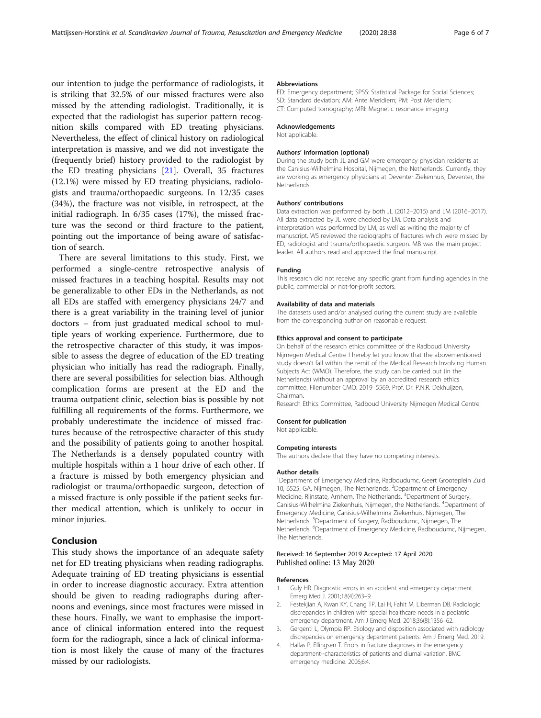<span id="page-5-0"></span>our intention to judge the performance of radiologists, it is striking that 32.5% of our missed fractures were also missed by the attending radiologist. Traditionally, it is expected that the radiologist has superior pattern recognition skills compared with ED treating physicians. Nevertheless, the effect of clinical history on radiological interpretation is massive, and we did not investigate the (frequently brief) history provided to the radiologist by the ED treating physicians [\[21\]](#page-6-0). Overall, 35 fractures (12.1%) were missed by ED treating physicians, radiologists and trauma/orthopaedic surgeons. In 12/35 cases (34%), the fracture was not visible, in retrospect, at the initial radiograph. In 6/35 cases (17%), the missed fracture was the second or third fracture to the patient, pointing out the importance of being aware of satisfaction of search.

There are several limitations to this study. First, we performed a single-centre retrospective analysis of missed fractures in a teaching hospital. Results may not be generalizable to other EDs in the Netherlands, as not all EDs are staffed with emergency physicians 24/7 and there is a great variability in the training level of junior doctors – from just graduated medical school to multiple years of working experience. Furthermore, due to the retrospective character of this study, it was impossible to assess the degree of education of the ED treating physician who initially has read the radiograph. Finally, there are several possibilities for selection bias. Although complication forms are present at the ED and the trauma outpatient clinic, selection bias is possible by not fulfilling all requirements of the forms. Furthermore, we probably underestimate the incidence of missed fractures because of the retrospective character of this study and the possibility of patients going to another hospital. The Netherlands is a densely populated country with multiple hospitals within a 1 hour drive of each other. If a fracture is missed by both emergency physician and radiologist or trauma/orthopaedic surgeon, detection of a missed fracture is only possible if the patient seeks further medical attention, which is unlikely to occur in minor injuries.

# Conclusion

This study shows the importance of an adequate safety net for ED treating physicians when reading radiographs. Adequate training of ED treating physicians is essential in order to increase diagnostic accuracy. Extra attention should be given to reading radiographs during afternoons and evenings, since most fractures were missed in these hours. Finally, we want to emphasise the importance of clinical information entered into the request form for the radiograph, since a lack of clinical information is most likely the cause of many of the fractures missed by our radiologists.

## Abbreviations

ED: Emergency department; SPSS: Statistical Package for Social Sciences; SD: Standard deviation; AM: Ante Meridiem; PM: Post Meridiem;

CT: Computed tomography; MRI: Magnetic resonance imaging

## Acknowledgements

Not applicable.

#### Authors' information (optional)

During the study both JL and GM were emergency physician residents at the Canisius-Wilhelmina Hospital, Nijmegen, the Netherlands. Currently, they are working as emergency physicians at Deventer Ziekenhuis, Deventer, the Netherlands.

## Authors' contributions

Data extraction was performed by both JL (2012–2015) and LM (2016–2017). All data extracted by JL were checked by LM. Data analysis and interpretation was performed by LM, as well as writing the majority of manuscript. WS reviewed the radiographs of fractures which were missed by ED, radiologist and trauma/orthopaedic surgeon. MB was the main project leader. All authors read and approved the final manuscript.

#### Funding

This research did not receive any specific grant from funding agencies in the public, commercial or not-for-profit sectors.

#### Availability of data and materials

The datasets used and/or analysed during the current study are available from the corresponding author on reasonable request.

#### Ethics approval and consent to participate

On behalf of the research ethics committee of the Radboud University Nijmegen Medical Centre I hereby let you know that the abovementioned study doesn't fall within the remit of the Medical Research Involving Human Subjects Act (WMO). Therefore, the study can be carried out (in the Netherlands) without an approval by an accredited research ethics committee. Filenumber CMO: 2019–5569. Prof. Dr. P.N.R. Dekhuijzen, Chairman.

Research Ethics Committee, Radboud University Nijmegen Medical Centre.

#### Consent for publication

Not applicable.

# Competing interests

The authors declare that they have no competing interests.

#### Author details

<sup>1</sup>Department of Emergency Medicine, Radboudumc, Geert Grooteplein Zuid 10, 6525, GA, Nijmegen, The Netherlands. <sup>2</sup>Department of Emergency Medicine, Rijnstate, Arnhem, The Netherlands. <sup>3</sup>Department of Surgery Canisius-Wilhelmina Ziekenhuis, Nijmegen, the Netherlands. <sup>4</sup> Department of Emergency Medicine, Canisius-Wilhelmina Ziekenhuis, Nijmegen, The Netherlands. <sup>5</sup>Department of Surgery, Radboudumc, Nijmegen, The Netherlands. <sup>6</sup>Department of Emergency Medicine, Radboudumc, Nijmegen, The Netherlands.

### Received: 16 September 2019 Accepted: 17 April 2020 Published online: 13 May 2020

#### References

- 1. Guly HR. Diagnostic errors in an accident and emergency department. Emerg Med J. 2001;18(4):263–9.
- 2. Festekjian A, Kwan KY, Chang TP, Lai H, Fahit M, Liberman DB. Radiologic discrepancies in children with special healthcare needs in a pediatric emergency department. Am J Emerg Med. 2018;36(8):1356–62.
- 3. Gergenti L, Olympia RP. Etiology and disposition associated with radiology discrepancies on emergency department patients. Am J Emerg Med. 2019.
- 4. Hallas P, Ellingsen T. Errors in fracture diagnoses in the emergency department--characteristics of patients and diurnal variation. BMC emergency medicine. 2006;6:4.